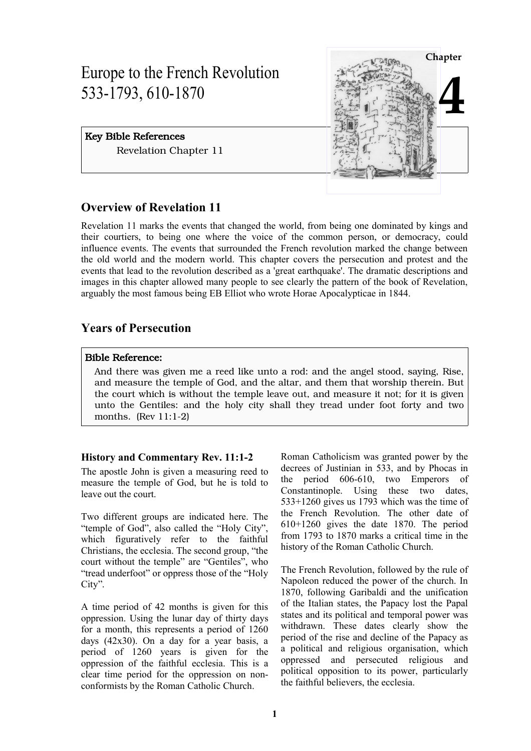# Europe to the French Revolution 533-1793, 610-1870

# Key Bible References Revelation Chapter 11



# **Overview of Revelation 11**

Revelation 11 marks the events that changed the world, from being one dominated by kings and their courtiers, to being one where the voice of the common person, or democracy, could influence events. The events that surrounded the French revolution marked the change between the old world and the modern world. This chapter covers the persecution and protest and the events that lead to the revolution described as a 'great earthquake'. The dramatic descriptions and images in this chapter allowed many people to see clearly the pattern of the book of Revelation, arguably the most famous being EB Elliot who wrote Horae Apocalypticae in 1844.

# **Years of Persecution**

# Bible Reference:

And there was given me a reed like unto a rod: and the angel stood, saying, Rise, and measure the temple of God, and the altar, and them that worship therein. But the court which is without the temple leave out, and measure it not; for it is given unto the Gentiles: and the holy city shall they tread under foot forty and two months. (Rev 11:1-2)

# **History and Commentary Rev. 11:1-2**

The apostle John is given a measuring reed to measure the temple of God, but he is told to leave out the court.

Two different groups are indicated here. The "temple of God", also called the "Holy City", which figuratively refer to the faithful Christians, the ecclesia. The second group, "the court without the temple" are "Gentiles", who "tread underfoot" or oppress those of the "Holy City".

A time period of 42 months is given for this oppression. Using the lunar day of thirty days for a month, this represents a period of 1260 days (42x30). On a day for a year basis, a period of 1260 years is given for the oppression of the faithful ecclesia. This is a clear time period for the oppression on nonconformists by the Roman Catholic Church.

Roman Catholicism was granted power by the decrees of Justinian in 533, and by Phocas in the period 606-610, two Emperors of Constantinople. Using these two dates, 533+1260 gives us 1793 which was the time of the French Revolution. The other date of 610+1260 gives the date 1870. The period from 1793 to 1870 marks a critical time in the history of the Roman Catholic Church.

The French Revolution, followed by the rule of Napoleon reduced the power of the church. In 1870, following Garibaldi and the unification of the Italian states, the Papacy lost the Papal states and its political and temporal power was withdrawn. These dates clearly show the period of the rise and decline of the Papacy as a political and religious organisation, which oppressed and persecuted religious and political opposition to its power, particularly the faithful believers, the ecclesia.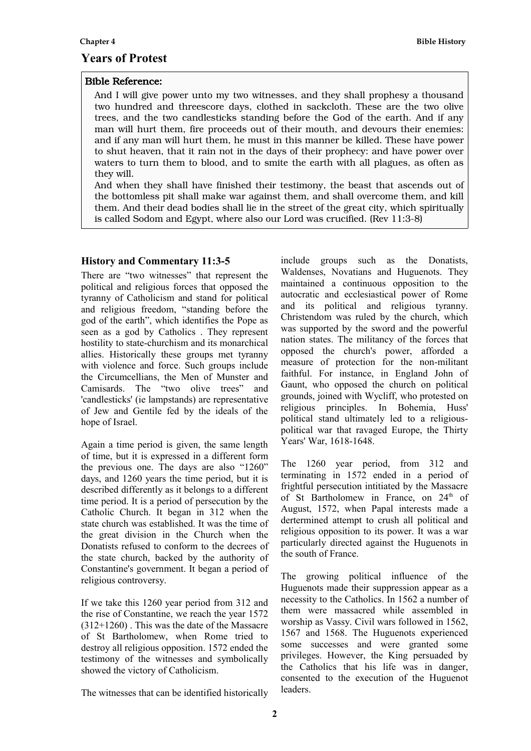# **Years of Protest**

# Bible Reference:

And I will give power unto my two witnesses, and they shall prophesy a thousand two hundred and threescore days, clothed in sackcloth. These are the two olive trees, and the two candlesticks standing before the God of the earth. And if any man will hurt them, fire proceeds out of their mouth, and devours their enemies: and if any man will hurt them, he must in this manner be killed. These have power to shut heaven, that it rain not in the days of their prophecy: and have power over waters to turn them to blood, and to smite the earth with all plagues, as often as they will.

And when they shall have finished their testimony, the beast that ascends out of the bottomless pit shall make war against them, and shall overcome them, and kill them. And their dead bodies shall lie in the street of the great city, which spiritually is called Sodom and Egypt, where also our Lord was crucified. (Rev 11:3-8)

# **History and Commentary 11:3-5**

There are "two witnesses" that represent the political and religious forces that opposed the tyranny of Catholicism and stand for political and religious freedom, "standing before the god of the earth", which identifies the Pope as seen as a god by Catholics . They represent hostility to state-churchism and its monarchical allies. Historically these groups met tyranny with violence and force. Such groups include the Circumcellians, the Men of Munster and Camisards. The "two olive trees" and 'candlesticks' (ie lampstands) are representative of Jew and Gentile fed by the ideals of the hope of Israel.

Again a time period is given, the same length of time, but it is expressed in a different form the previous one. The days are also "1260" days, and 1260 years the time period, but it is described differently as it belongs to a different time period. It is a period of persecution by the Catholic Church. It began in 312 when the state church was established. It was the time of the great division in the Church when the Donatists refused to conform to the decrees of the state church, backed by the authority of Constantine's government. It began a period of religious controversy.

If we take this 1260 year period from 312 and the rise of Constantine, we reach the year 1572 (312+1260) . This was the date of the Massacre of St Bartholomew, when Rome tried to destroy all religious opposition. 1572 ended the testimony of the witnesses and symbolically showed the victory of Catholicism.

maintained a continuous opposition to the autocratic and ecclesiastical power of Rome and its political and religious tyranny. Christendom was ruled by the church, which was supported by the sword and the powerful nation states. The militancy of the forces that opposed the church's power, afforded a measure of protection for the non-militant faithful. For instance, in England John of Gaunt, who opposed the church on political grounds, joined with Wycliff, who protested on religious principles. In Bohemia, Huss' political stand ultimately led to a religiouspolitical war that ravaged Europe, the Thirty Years' War, 1618-1648.

include groups such as the Donatists, Waldenses, Novatians and Huguenots. They

The 1260 year period, from 312 and terminating in 1572 ended in a period of frightful persecution intitiated by the Massacre of St Bartholomew in France, on 24<sup>th</sup> of August, 1572, when Papal interests made a dertermined attempt to crush all political and religious opposition to its power. It was a war particularly directed against the Huguenots in the south of France.

The growing political influence of the Huguenots made their suppression appear as a necessity to the Catholics. In 1562 a number of them were massacred while assembled in worship as Vassy. Civil wars followed in 1562, 1567 and 1568. The Huguenots experienced some successes and were granted some privileges. However, the King persuaded by the Catholics that his life was in danger, consented to the execution of the Huguenot leaders.

The witnesses that can be identified historically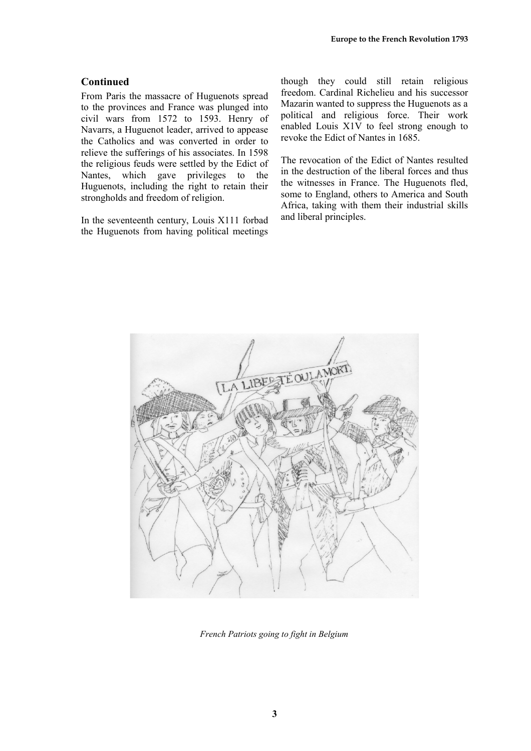#### **Continued**

From Paris the massacre of Huguenots spread to the provinces and France was plunged into civil wars from 1572 to 1593. Henry of Navarrs, a Huguenot leader, arrived to appease the Catholics and was converted in order to relieve the sufferings of his associates. In 1598 the religious feuds were settled by the Edict of Nantes, which gave privileges to the Huguenots, including the right to retain their strongholds and freedom of religion.

In the seventeenth century, Louis X111 forbad the Huguenots from having political meetings though they could still retain religious freedom. Cardinal Richelieu and his successor Mazarin wanted to suppress the Huguenots as a political and religious force. Their work enabled Louis X1V to feel strong enough to revoke the Edict of Nantes in 1685.

The revocation of the Edict of Nantes resulted in the destruction of the liberal forces and thus the witnesses in France. The Huguenots fled, some to England, others to America and South Africa, taking with them their industrial skills and liberal principles.



*French Patriots going to fight in Belgium*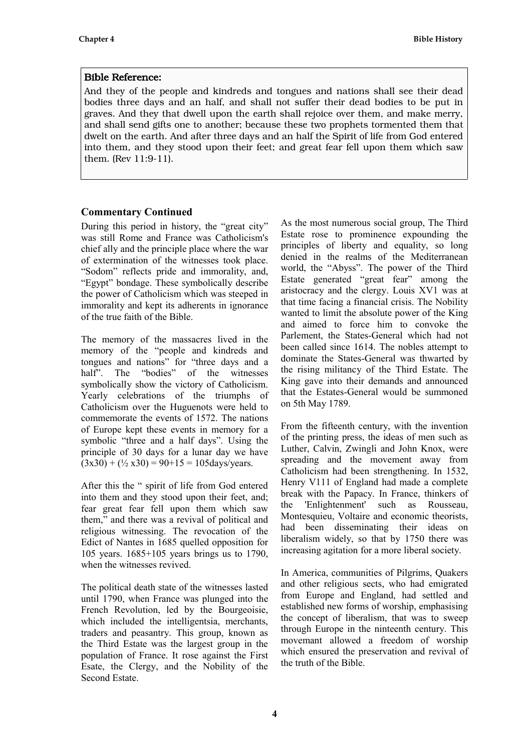### Bible Reference:

And they of the people and kindreds and tongues and nations shall see their dead bodies three days and an half, and shall not suffer their dead bodies to be put in graves. And they that dwell upon the earth shall rejoice over them, and make merry, and shall send gifts one to another; because these two prophets tormented them that dwelt on the earth. And after three days and an half the Spirit of life from God entered into them, and they stood upon their feet; and great fear fell upon them which saw them. (Rev 11:9-11).

# **Commentary Continued**

During this period in history, the "great city" was still Rome and France was Catholicism's chief ally and the principle place where the war of extermination of the witnesses took place. "Sodom" reflects pride and immorality, and, "Egypt" bondage. These symbolically describe the power of Catholicism which was steeped in immorality and kept its adherents in ignorance of the true faith of the Bible.

The memory of the massacres lived in the memory of the "people and kindreds and tongues and nations" for "three days and a half". The "bodies" of the witnesses symbolically show the victory of Catholicism. Yearly celebrations of the triumphs of Catholicism over the Huguenots were held to commemorate the events of 1572. The nations of Europe kept these events in memory for a symbolic "three and a half days". Using the principle of 30 days for a lunar day we have  $(3x30) + (1/2 x30) = 90 + 15 = 105$ days/years.

After this the " spirit of life from God entered into them and they stood upon their feet, and; fear great fear fell upon them which saw them," and there was a revival of political and religious witnessing. The revocation of the Edict of Nantes in 1685 quelled opposition for 105 years. 1685+105 years brings us to 1790, when the witnesses revived.

The political death state of the witnesses lasted until 1790, when France was plunged into the French Revolution, led by the Bourgeoisie, which included the intelligentsia, merchants, traders and peasantry. This group, known as the Third Estate was the largest group in the population of France. It rose against the First Esate, the Clergy, and the Nobility of the Second Estate.

As the most numerous social group, The Third Estate rose to prominence expounding the principles of liberty and equality, so long denied in the realms of the Mediterranean world, the "Abyss". The power of the Third Estate generated "great fear" among the aristocracy and the clergy. Louis XV1 was at that time facing a financial crisis. The Nobility wanted to limit the absolute power of the King and aimed to force him to convoke the Parlement, the States-General which had not been called since 1614. The nobles attempt to dominate the States-General was thwarted by the rising militancy of the Third Estate. The King gave into their demands and announced that the Estates-General would be summoned on 5th May 1789.

From the fifteenth century, with the invention of the printing press, the ideas of men such as Luther, Calvin, Zwingli and John Knox, were spreading and the movement away from Catholicism had been strengthening. In 1532, Henry V111 of England had made a complete break with the Papacy. In France, thinkers of the 'Enlightenment' such as Rousseau, Montesquieu, Voltaire and economic theorists, had been disseminating their ideas on liberalism widely, so that by 1750 there was increasing agitation for a more liberal society.

In America, communities of Pilgrims, Quakers and other religious sects, who had emigrated from Europe and England, had settled and established new forms of worship, emphasising the concept of liberalism, that was to sweep through Europe in the ninteenth century. This movemant allowed a freedom of worship which ensured the preservation and revival of the truth of the Bible.